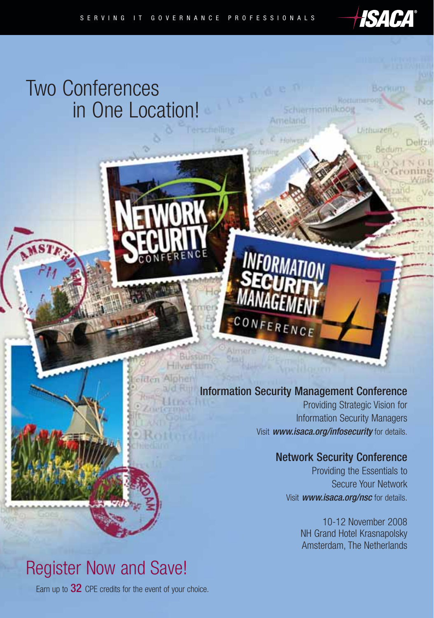# Two Conferences in One Location!

# Information Security Management Conference

RENCE

 $CON$ 

Bussum Hilversum

Alpher

Schiermannikoog

Ameland

Providing Strategic Vision for Information Security Managers Visit www.isaca.org/infosecurity for details.

# Network Security Conference

Providing the Essentials to Secure Your Network Visit www.isaca.org/nsc for details.

*HSACA®* 

Вогкит

Bedur

Uithuizen

10-12 November 2008 NH Grand Hotel Krasnapolsky Amsterdam, The Netherlands

# Register Now and Save!

Earn up to 32 CPE credits for the event of your choice.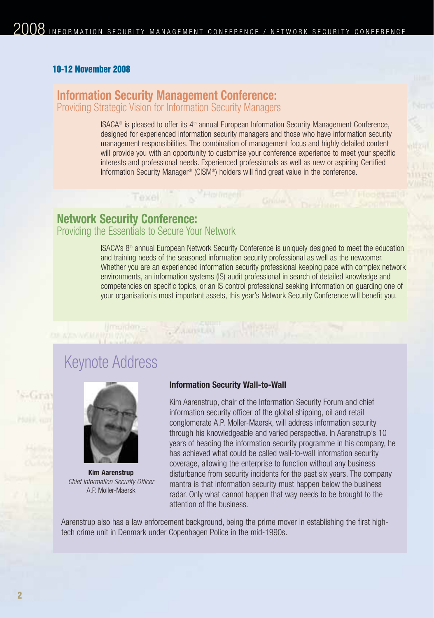# **10-12 November 2008**

# **Information Security Management Conference:** Providing Strategic Vision for Information Security Managers

ISACA<sup>®</sup> is pleased to offer its  $4<sup>th</sup>$  annual European Information Security Management Conference, designed for experienced information security managers and those who have information security management responsibilities. The combination of management focus and highly detailed content will provide you with an opportunity to customise your conference experience to meet your specific interests and professional needs. Experienced professionals as well as new or aspiring Certified Information Security Manager<sup>®</sup> (CISM®) holders will find great value in the conference.

Texel, s<sup>"Historicit</sup> Grand Best Historical

inge VIIIR

# **Network Security Conference:** Providing the Essentials to Secure Your Network

ISACA's 8th annual European Network Security Conference is uniquely designed to meet the education and training needs of the seasoned information security professional as well as the newcomer. Whether you are an experienced information security professional keeping pace with complex network environments, an information systems (IS) audit professional in search of detailed knowledge and competencies on specific topics, or an IS control professional seeking information on guarding one of your organisation's most important assets, this year's Network Security Conference will benefit you.

# Keynote Address

**OF AZAMKION PHILIPS** 



**Kim Aarenstrup** Chief Information Security Officer A.P. Moller-Maersk

# **Information Security Wall-to-Wall**

 $\label{eq:univ} \liminf_{\alpha\to\infty} \alpha_{\alpha,\beta} = \sum_{\alpha\in\mathbb{Z}} \chi_{\alpha,\alpha,\beta} \chi_{\alpha,\beta} \; \text{and} \; \sum_{\alpha\in\mathbb{Z}} \chi_{\alpha,\beta} \; \text{and} \; \sum_{\alpha\in\mathbb{Z}} \chi_{\alpha,\beta} \; \text{and} \; \sum_{\alpha\in\mathbb{Z}} \chi_{\alpha,\beta} \; \text{and} \; \sum_{\alpha\in\mathbb{Z}} \chi_{\alpha,\beta} \; \text{and} \; \sum_{\alpha\in\mathbb{Z}} \chi_{\alpha,\beta} \; \text{and} \; \$ 

Kim Aarenstrup, chair of the Information Security Forum and chief information security officer of the global shipping, oil and retail conglomerate A.P. Moller-Maersk, will address information security through his knowledgeable and varied perspective. In Aarenstrup's 10 years of heading the information security programme in his company, he has achieved what could be called wall-to-wall information security coverage, allowing the enterprise to function without any business disturbance from security incidents for the past six years. The company mantra is that information security must happen below the business radar. Only what cannot happen that way needs to be brought to the attention of the business.

Aarenstrup also has a law enforcement background, being the prime mover in establishing the first hightech crime unit in Denmark under Copenhagen Police in the mid-1990s.

S-Gra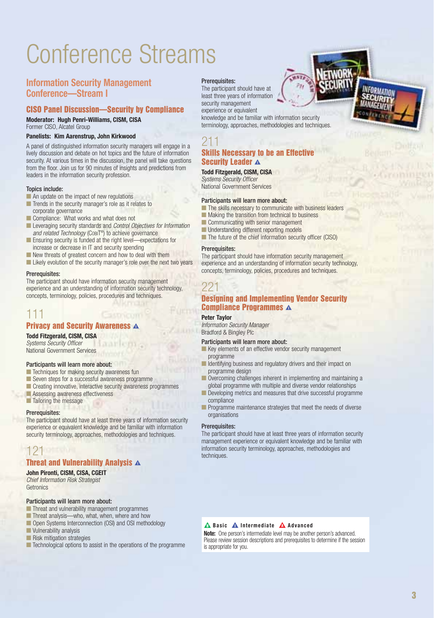# Conference Streams

# **Information Security Management Conference—Stream I**

# **CISO Panel Discussion—Security by Compliance**

**Moderator: Hugh Penri-Williams, CISM, CISA** Former CISO, Alcatel Group

#### **Panelists: Kim Aarenstrup, John Kirkwood**

A panel of distinguished information security managers will engage in a lively discussion and debate on hot topics and the future of information security. At various times in the discussion, the panel will take questions from the floor. Join us for 90 minutes of insights and predictions from leaders in the information security profession.

#### Topics include:

- An update on the impact of new regulations
- Trends in the security manager's role as it relates to corporate governance
- Compliance: What works and what does not
- Leveraging security standards and Control Objectives for Information and related Technology (COBIT®) to achieve governance
- Ensuring security is funded at the right level—expectations for increase or decrease in IT and security spending
- New threats of greatest concern and how to deal with them
- Likely evolution of the security manager's role over the next two years

#### Prerequisites:

The participant should have information security management experience and an understanding of information security technology, concepts, terminology, policies, procedures and techniques.

# 111

# **Privacy and Security Awareness A**

### **Todd Fitzgerald, CISM, CISA**

Systems Security Officer National Government Services

#### Participants will learn more about:

- Techniques for making security awareness fun
- Seven steps for a successful awareness programme
- Creating innovative, interactive security awareness programmes
- Assessing awareness effectiveness
- Tailoring the message

#### Prerequisites:

The participant should have at least three years of information security experience or equivalent knowledge and be familiar with information security terminology, approaches, methodologies and techniques.

# 121

# **Threat and Vulnerability Analysis** k

**John Pironti, CISM, CISA, CGEIT** Chief Information Risk Strategist

#### **Getronics**

### Participants will learn more about:

- Threat and vulnerability management programmes
- Threat analysis—who, what, when, where and how
- Open Systems Interconnection (OSI) and OSI methodology
- Vulnerability analysis
- Risk mitigation strategies
- Technological options to assist in the operations of the programme

#### Prerequisites:

The participant should have at least three years of information security management experience or equivalent

knowledge and be familiar with information security terminology, approaches, methodologies and techniques.

# 211 **Skills Necessary to be an Effective Security Leader A**

# **Todd Fitzgerald, CISM, CISA**

Systems Security Officer National Government Services

#### Participants will learn more about:

- The skills necessary to communicate with business leaders
- Making the transition from technical to business
- Communicating with senior management
- Understanding different reporting models
- The future of the chief information security officer (CISO)

#### Prerequisites:

The participant should have information security management experience and an understanding of information security technology, concepts, terminology, policies, procedures and techniques.

# 221

### **Designing and Implementing Vendor Security Compliance Programmes** k

#### **Peter Taylor**

Information Security Manager Bradford & Bingley Plc

# Participants will learn more about:

- Key elements of an effective vendor security management programme
- Identifying business and regulatory drivers and their impact on programme design
- Overcoming challenges inherent in implementing and maintaining a global programme with multiple and diverse vendor relationships
- Developing metrics and measures that drive successful programme compliance
- Programme maintenance strategies that meet the needs of diverse organisations

#### Prerequisites:

The participant should have at least three years of information security management experience or equivalent knowledge and be familiar with information security terminology, approaches, methodologies and techniques.

### **A** Basic **A** Intermediate **A** Advanced

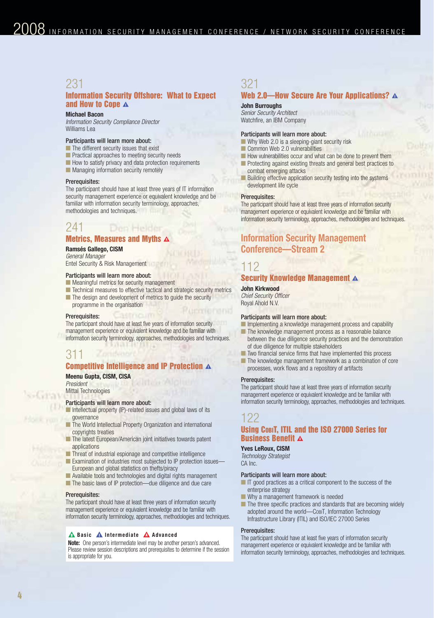# 231

### **Information Security Offshore: What to Expect and How to Cope A**

#### **Michael Bacon**

Information Security Compliance Director Williams Lea

# Participants will learn more about:

- The different security issues that exist
- Practical approaches to meeting security needs
- How to satisfy privacy and data protection requirements
- Managing information security remotely

#### Prerequisites:

The participant should have at least three years of IT information security management experience or equivalent knowledge and be familiar with information security terminology, approaches, methodologies and techniques.

#### 241 Den Helder

# **Metrics, Measures and Myths A**

### **Ramsés Gallego, CISM**

General Manager Entel Security & Risk Management

#### Participants will learn more about:

■ Meaningful metrics for security management

■ Technical measures to effective tactical and strategic security metrics ■ The design and development of metrics to guide the security programme in the organisation

#### Prerequisites:

The participant should have at least five years of information security management experience or equivalent knowledge and be familiar with information security terminology, approaches, methodologies and techniques.

# 311

# **Competitive Intelligence and IP Protection** k

#### **Meenu Gupta, CISM, CISA** President

Mittal Technologies

#### Participants will learn more about:

- Intellectual property (IP)-related issues and global laws of its governance
- The World Intellectual Property Organization and international copyrights treaties
- The latest European/American joint initiatives towards patent applications
- Threat of industrial espionage and competitive intelligence
- Examination of industries most subjected to IP protection issues European and global statistics on thefts/piracy
- Available tools and technologies and digital rights management
- The basic laws of IP protection—due diligence and due care

#### Prerequisites:

The participant should have at least three years of information security management experience or equivalent knowledge and be familiar with information security terminology, approaches, methodologies and techniques.

#### **A** Basic **A** Intermediate **A** Advanced

**Note:** One person's intermediate level may be another person's advanced. Please review session descriptions and prerequisites to determine if the session is appropriate for you.

# 321

# **Web 2.0—How Secure Are Your Applications?** k

#### **John Burroughs**

Senior Security Architect Watchfire, an IBM Company

#### Participants will learn more about:

- Why Web 2.0 is a sleeping-giant security risk
- Common Web 2.0 vulnerabilities
- How vulnerabilities occur and what can be done to prevent them ■ Protecting against existing threats and general best practices to
- combat emerging attacks Building effective application security testing into the systems development life cycle

#### Prerequisites:

The participant should have at least three years of information security management experience or equivalent knowledge and be familiar with information security terminology, approaches, methodologies and techniques.

# **Information Security Management Conference—Stream 2**

# 112

#### **Security Knowledge Management** k

**John Kirkwood**  Chief Security Officer Royal Ahold N.V.

# Participants will learn more about:

- Implementing a knowledge management process and capability
- The knowledge management process as a reasonable balance between the due diligence security practices and the demonstration of due diligence for multiple stakeholders
- Two financial service firms that have implemented this process
- The knowledge management framework as a combination of core processes, work flows and a repository of artifacts

#### Prerequisites:

The participant should have at least three years of information security management experience or equivalent knowledge and be familiar with information security terminology, approaches, methodologies and techniques.

# 122

### **Using COBIT, ITIL and the ISO 27000 Series for Business Benefit**  $\boldsymbol{\Delta}$

#### **Yves LeRoux, CISM**

Technology Strategist CA Inc.

#### Participants will learn more about:

- IT good practices as a critical component to the success of the enterprise strategy
- Why a management framework is needed
- The three specific practices and standards that are becoming widely adopted around the world—COBIT, Information Technology Infrastructure Library (ITIL) and ISO/IEC 27000 Series

#### Prerequisites:

The participant should have at least five years of information security management experience or equivalent knowledge and be familiar with information security terminology, approaches, methodologies and techniques.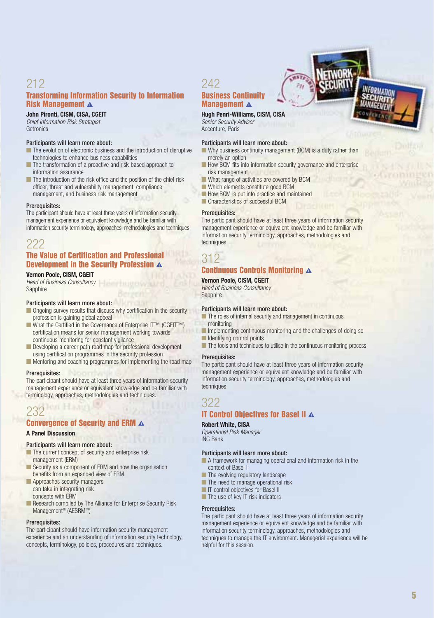# 212 **Transforming Information Security to Information Risk Management** k

**John Pironti, CISM, CISA, CGEIT** Chief Information Risk Strategist **Getronics** 

#### Participants will learn more about:

- The evolution of electronic business and the introduction of disruptive technologies to enhance business capabilities
- The transformation of a proactive and risk-based approach to information assurance
- The introduction of the risk office and the position of the chief risk officer, threat and vulnerability management, compliance management, and business risk management

#### Prerequisites:

The participant should have at least three years of information security management experience or equivalent knowledge and be familiar with information security terminology, approaches, methodologies and techniques.

# 222

## **The Value of Certification and Professional Development in the Security Profession** k

#### **Vernon Poole, CISM, CGEIT**

Head of Business Consultancy **Sapphire** 

#### Participants will learn more about:

- Ongoing survey results that discuss why certification in the security profession is gaining global appeal
- What the Certified in the Governance of Enterprise IT™ (CGEIT™) certification means for senior management working towards continuous monitoring for constant vigilance
- Developing a career path road map for professional development using certification programmes in the security profession
- Mentoring and coaching programmes for implementing the road map

#### Prerequisites:

The participant should have at least three years of information security management experience or equivalent knowledge and be familiar with terminology, approaches, methodologies and techniques.

# 232

# **Convergence of Security and ERM** k

# **A Panel Discussion**

#### Participants will learn more about:

- The current concept of security and enterprise risk management (ERM)
- Security as a component of ERM and how the organisation benefits from an expanded view of ERM
- Approaches security managers can take in integrating risk concepts with ERM
- Research compiled by The Alliance for Enterprise Security Risk Management™ (AESRM™)

#### Prerequisites:

The participant should have information security management experience and an understanding of information security technology, concepts, terminology, policies, procedures and techniques.

# 242

#### **Business Continuity Management A**

#### **Hugh Penri-Williams, CISM, CISA**

Senior Security Advisor Accenture, Paris

#### Participants will learn more about:

- Why business continuity management (BCM) is a duty rather than merely an option
- How BCM fits into information security governance and enterprise risk management
- What range of activities are covered by BCM
- Which elements constitute good BCM
- How BCM is put into practice and maintained
- Characteristics of successful BCM

#### Prerequisites:

The participant should have at least three years of information security management experience or equivalent knowledge and be familiar with information security terminology, approaches, methodologies and techniques.

# 312

### **Continuous Controls Monitoring** k

**Vernon Poole, CISM, CGEIT Head of Business Consultancy Sapphire** 

#### Participants will learn more about:

- The roles of internal security and management in continuous monitoring
- Implementing continuous monitoring and the challenges of doing so ■ Identifying control points
- The tools and techniques to utilise in the continuous monitoring process

#### Prerequisites:

The participant should have at least three years of information security management experience or equivalent knowledge and be familiar with information security terminology, approaches, methodologies and techniques.

# 322

### **IT Control Objectives for Basel II A**

### **Robert White, CISA**

Operational Risk Manager ING Bank

#### Participants will learn more about:

■ A framework for managing operational and information risk in the context of Basel II

- The evolving regulatory landscape
- The need to manage operational risk
- IT control objectives for Basel II
- The use of key IT risk indicators

#### Prerequisites:

The participant should have at least three years of information security management experience or equivalent knowledge and be familiar with information security terminology, approaches, methodologies and techniques to manage the IT environment. Managerial experience will be helpful for this session.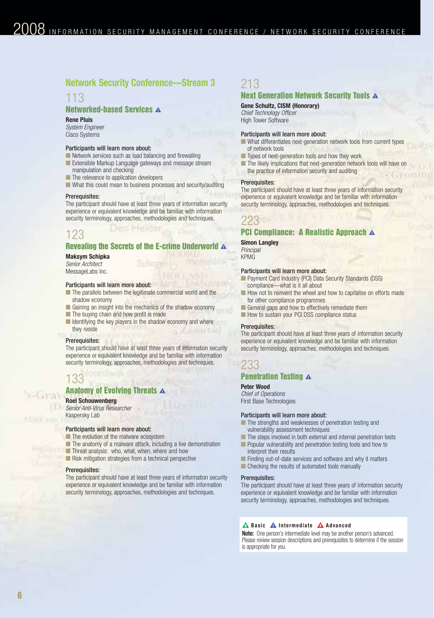# **Network Security Conference—Stream 3**

# 113

# **Networked-based Services A**

#### **Rene Pluis**

System Engineer Cisco Systems

#### Participants will learn more about:

- Network services such as load balancing and firewalling
- Extensible Markup Language gateways and message stream manipulation and checking
- The relevance to application developers
- What this could mean to business processes and security/auditing

#### Prerequisites:

The participant should have at least three years of information security experience or equivalent knowledge and be familiar with information security terminology, approaches, methodologies and techniques.

# 123

#### **Revealing the Secrets of the E-crime Underworld A**

#### **Maksym Schipka**

Senior Architect MessageLabs Inc.

#### Participants will learn more about:

- The parallels between the legitimate commercial world and the shadow economy
- Gaining an insight into the mechanics of the shadow economy
- The buying chain and how profit is made
- Identifying the key players in the shadow economy and where they reside

#### Prerequisites:

The participant should have at least three years of information security experience or equivalent knowledge and be familiar with information security terminology, approaches, methodologies and techniques.

# 133

# **Anatomy of Evolving Threats A**

#### **Roel Schouwenberg**

Senior Anti-Virus Researcher

Kaspersky Lab

### Participants will learn more about:

- The evolution of the malware ecosystem
- The anatomy of a malware attack, including a live demonstration
- Threat analysis: who, what, when, where and how
- Risk mitigation strategies from a technical perspective

#### Prerequisites:

The participant should have at least three years of information security experience or equivalent knowledge and be familiar with information security terminology, approaches, methodologies and techniques.

# 213

# **Next Generation Network Security Tools A**

### **Gene Schultz, CISM (Honorary)**

Chief Technology Officer High Tower Software

#### Participants will learn more about:

- What differentiates next-generation network tools from current types of network tools
- Types of next-generation tools and how they work
- The likely implications that next-generation network tools will have or the practice of information security and auditing

#### Prerequisites:

The participant should have at least three years of information security experience or equivalent knowledge and be familiar with information security terminology, approaches, methodologies and techniques.

# 223

#### **PCI Compliance: A Realistic Approach**  $\Lambda$

**Simon Langley Principal** KPMG

#### Participants will learn more about:

- Payment Card Industry (PCI) Data Security Standards (DSS) compliance—what is it all about
- How not to reinvent the wheel and how to capitalise on efforts made for other compliance programmes
- General gaps and how to effectively remediate them
- How to sustain your PCI DSS compliance status

#### Prerequisites:

The participant should have at least three years of information security experience or equivalent knowledge and be familiar with information security terminology, approaches, methodologies and techniques.

# 233

### **Penetration Testing**  $\boldsymbol{\Lambda}$

#### **Peter Wood**

Chief of Operations First Base Technologies

#### Participants will learn more about:

- The strengths and weaknesses of penetration testing and vulnerability assessment techniques
- The steps involved in both external and internal penetration tests
- Popular vulnerability and penetration testing tools and how to interpret their results
- Finding out-of-date services and software and why it matters
- Checking the results of automated tools manually

#### Prerequisites:

The participant should have at least three years of information security experience or equivalent knowledge and be familiar with information security terminology, approaches, methodologies and techniques.

#### **A** Basic **A** Intermediate **A** Advanced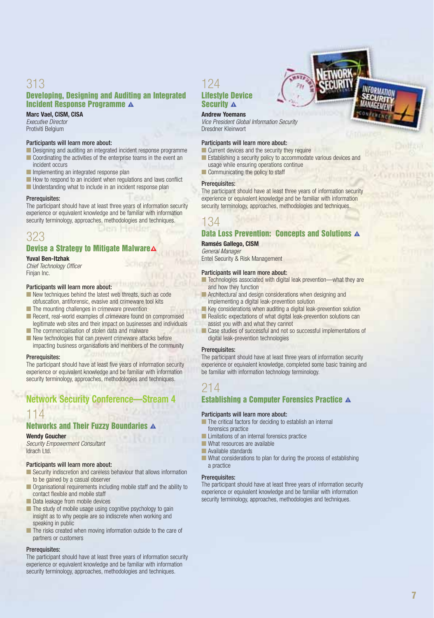# 313 **Developing, Designing and Auditing an Integrated Incident Response Programme A**

**Marc Vael, CISM, CISA** Executive Director Protiviti Belgium

#### Participants will learn more about:

- Designing and auditing an integrated incident response programme ■ Coordinating the activities of the enterprise teams in the event an incident occurs
- Implementing an integrated response plan
- How to respond to an incident when regulations and laws conflict
- Understanding what to include in an incident response plan

#### Prerequisites:

The participant should have at least three years of information security experience or equivalent knowledge and be familiar with information security terminology, approaches, methodologies and techniques.

**ICELES** 

# 323

# **Devise a Strategy to Mitigate Malware**

#### **Yuval Ben-Itzhak**

Chief Technology Officer Finjan Inc.

#### Participants will learn more about:

- New techniques behind the latest web threats, such as code obfuscation, antiforensic, evasive and crimeware tool kits
- The mounting challenges in crimeware prevention
- Recent, real-world examples of crimeware found on compromised legitimate web sites and their impact on businesses and individuals
- The commercialisation of stolen data and malware ■ New technologies that can prevent crimeware attacks before impacting business organisations and members of the community

#### Prerequisites:

The participant should have at least five years of information security experience or equivalent knowledge and be familiar with information security terminology, approaches, methodologies and techniques.

# **Network Security Conference**

# 114

# **Networks and Their Fuzzy Boundaries A**

**Wendy Goucher**

Security Empowerment Consultant Idrach Ltd.

#### Participants will learn more about:

- Security indiscretion and careless behaviour that allows information to be gained by a casual observer
- Organisational requirements including mobile staff and the ability to contact flexible and mobile staff ■ Data leakage from mobile devices
- The study of mobile usage using cognitive psychology to gain insight as to why people are so indiscrete when working and speaking in public
- The risks created when moving information outside to the care of partners or customers

#### Prerequisites:

The participant should have at least three years of information security experience or equivalent knowledge and be familiar with information security terminology, approaches, methodologies and techniques.

# 124 **Lifestyle Device Security**  $\Lambda$

### **Andrew Yoemans**

Vice President Global Information Security Dresdner Kleinwort

#### Participants will learn more about:

■ Current devices and the security they require

- Establishing a security policy to accommodate various devices and usage while ensuring operations continue
- Communicating the policy to staff

#### Prerequisites:

The participant should have at least three years of information security experience or equivalent knowledge and be familiar with information security terminology, approaches, methodologies and techniques.

# 134

### **Data Loss Prevention: Concepts and Solutions A**

**Ramsés Gallego, CISM**

General Manager

Entel Security & Risk Management

#### Participants will learn more about:

- Technologies associated with digital leak prevention—what they are and how they function
- **Architectural and design considerations when designing and** implementing a digital leak-prevention solution
- Key considerations when auditing a digital leak-prevention solution
- Realistic expectations of what digital leak-prevention solutions can assist you with and what they cannot
- Case studies of successful and not so successful implementations of digital leak-prevention technologies

#### Prerequisites:

The participant should have at least three years of information security experience or equivalent knowledge, completed some basic training and be familiar with information technology terminology.

# 214

# **Establishing a Computer Forensics Practice A**

#### Participants will learn more about:

- The critical factors for deciding to establish an internal forensics practice
- Limitations of an internal forensics practice
- What resources are available
- Available standards
- What considerations to plan for during the process of establishing a practice

#### Prerequisites:

The participant should have at least three years of information security experience or equivalent knowledge and be familiar with information security terminology, approaches, methodologies and techniques.

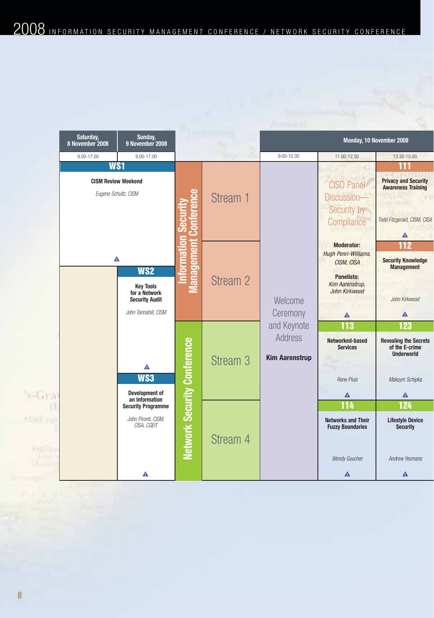|     | Saturday,<br>8 November 2008                       | Sunday,<br>9 November 2008                                                                            |                                    |                     |                                                        | Monday, 10 November 2008                                                                                                                                                                     |                                                                                                   |
|-----|----------------------------------------------------|-------------------------------------------------------------------------------------------------------|------------------------------------|---------------------|--------------------------------------------------------|----------------------------------------------------------------------------------------------------------------------------------------------------------------------------------------------|---------------------------------------------------------------------------------------------------|
|     | 9.00-17.00                                         | 9.00-17.00                                                                                            |                                    |                     | 9.00-10.30                                             | 11.00-12.30                                                                                                                                                                                  | 13.30-15.00                                                                                       |
|     | WS1                                                |                                                                                                       |                                    |                     |                                                        |                                                                                                                                                                                              | 111                                                                                               |
|     | <b>CISM Review Weekend</b><br>Eugene Schultz, CISM |                                                                                                       | ā                                  | Stream 1            |                                                        | <b>CISO Panel</b><br>Discussion-<br>Security by<br>Compliance                                                                                                                                | <b>Privacy and Security</b><br><b>Awareness Training</b><br>Todd Fitzgerald, CISM, CISA<br>Δ      |
|     | Δ                                                  | WS <sub>2</sub><br><b>Key Tools</b><br>for a Network<br><b>Security Audit</b><br>John Tannahill, CISM | lanagement                         | Stream 2            | Welcome<br>Ceremony                                    | <b>Moderator:</b><br>Hugh Penri-Williams,<br>CISM, CISA<br><b>Panelists:</b><br>Kim Aarenstrup,<br>John Kirkwood<br>Λ<br><b>113</b><br>Networked-based<br><b>Services</b><br>Rene Pluis<br>◭ | <b>112</b><br><b>Security Knowledge</b><br><b>Management</b><br>John Kirkwood<br>Δ                |
| as, |                                                    | Δ<br>WS3<br>Development of<br>an Information                                                          | <b>Network Security Conference</b> | Stream <sub>3</sub> | and Keynote<br><b>Address</b><br><b>Kim Aarenstrup</b> |                                                                                                                                                                                              | 123<br><b>Revealing the Secrets</b><br>of the E-crime<br><b>Underworld</b><br>Maksym Schipka<br>▲ |
| Tü  |                                                    | <b>Security Programme</b><br>John Pironti, CISM,<br>CISA, CGEIT<br>◭                                  |                                    | Stream 4            |                                                        | 114<br><b>Networks and Their</b><br><b>Fuzzy Boundaries</b><br>Wendy Goucher<br>Δ                                                                                                            | 124<br><b>Lifestyle Device</b><br><b>Security</b><br><b>Andrew Yeomans</b><br>Δ                   |

NЩ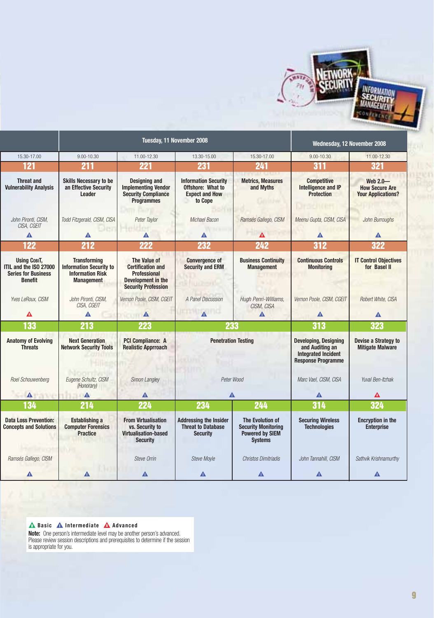

|                                                                                               |                                                                                                       | Tuesday, 11 November 2008                                                                                           |                                                                                      |                                                                                            | Wednesday, 12 November 2008                                                                                |                                                                |  |
|-----------------------------------------------------------------------------------------------|-------------------------------------------------------------------------------------------------------|---------------------------------------------------------------------------------------------------------------------|--------------------------------------------------------------------------------------|--------------------------------------------------------------------------------------------|------------------------------------------------------------------------------------------------------------|----------------------------------------------------------------|--|
| 15.30-17.00                                                                                   | 9.00-10.30                                                                                            | 11.00-12.30                                                                                                         | 13.30-15.00                                                                          | 15.30-17.00                                                                                | 9.00-10.30                                                                                                 | 11.00-12.30                                                    |  |
| 121                                                                                           | 211                                                                                                   | 221                                                                                                                 | 231                                                                                  | 241                                                                                        | 311                                                                                                        | 321                                                            |  |
| <b>Threat and</b><br><b>Vulnerability Analysis</b>                                            | <b>Skills Necessary to be</b><br>an Effective Security<br>Leader                                      | <b>Designing and</b><br><b>Implementing Vendor</b><br><b>Security Compliance</b><br><b>Programmes</b>               | <b>Information Security</b><br>Offshore: What to<br><b>Expect and How</b><br>to Cope | <b>Metrics, Measures</b><br>and Myths                                                      | <b>Competitive</b><br>Intelligence and IP<br><b>Protection</b>                                             | Web 2.0-<br><b>How Secure Are</b><br><b>Your Applications?</b> |  |
| John Pironti, CISM,<br>CISA, CGEIT                                                            | Todd Fitzgerald, CISM, CISA                                                                           | Peter Taylor                                                                                                        | Michael Bacon                                                                        | Ramsés Gallego, CISM                                                                       | Meenu Gupta, CISM, CISA                                                                                    | John Burroughs                                                 |  |
| Δ                                                                                             | Δ                                                                                                     | Δ                                                                                                                   | Δ                                                                                    | Δ                                                                                          | Λ                                                                                                          | Δ                                                              |  |
| 122                                                                                           | 212                                                                                                   | 222                                                                                                                 | 232                                                                                  | 242                                                                                        | 312                                                                                                        | 322                                                            |  |
| <b>Using COBIT,</b><br>ITIL and the ISO 27000<br><b>Series for Business</b><br><b>Benefit</b> | <b>Transforming</b><br><b>Information Security to</b><br><b>Information Risk</b><br><b>Management</b> | The Value of<br><b>Certification and</b><br><b>Professional</b><br>Development in the<br><b>Security Profession</b> | <b>Convergence of</b><br><b>Security and ERM</b>                                     | <b>Business Continuity</b><br><b>Management</b>                                            | <b>Continuous Controls</b><br><b>Monitoring</b>                                                            | <b>IT Control Objectives</b><br>for Basel II                   |  |
| Yves LeRoux, CISM                                                                             | John Pironti, CISM,<br>CISA, CGEIT                                                                    | Vernon Poole, CISM, CGEIT                                                                                           | A Panel Discussion                                                                   | Hugh Penri-Williams,<br>CISM, CISA                                                         | Vernon Poole, CISM, CGEIT                                                                                  | Robert White, CISA                                             |  |
| Δ                                                                                             | Δ                                                                                                     | $\triangle$<br><b>MATERIAL</b>                                                                                      | $\Lambda$                                                                            | Δ                                                                                          |                                                                                                            | Λ                                                              |  |
|                                                                                               |                                                                                                       |                                                                                                                     |                                                                                      |                                                                                            | Δ                                                                                                          |                                                                |  |
| 133                                                                                           | 213                                                                                                   | 223                                                                                                                 | 233                                                                                  |                                                                                            | 313                                                                                                        | 323                                                            |  |
| <b>Anatomy of Evolving</b><br><b>Threats</b>                                                  | <b>Next Generation</b><br><b>Network Security Tools</b>                                               | <b>PCI Compliance: A</b><br><b>Realistic Apprroach</b>                                                              | <b>Penetration Testing</b>                                                           |                                                                                            | <b>Developing, Designing</b><br>and Auditing an<br><b>Integrated Incident</b><br><b>Response Programme</b> | Devise a Strategy to<br><b>Mitigate Malware</b>                |  |
| Roel Schouwenberg                                                                             | Eugene Schultz, CISM<br>(Honorary)                                                                    | Simon Langley                                                                                                       | Peter Wood                                                                           |                                                                                            | Marc Vael, CISM, CISA                                                                                      | Yuval Ben-Itzhak                                               |  |
| $\Delta$                                                                                      | $\blacktriangle$                                                                                      | Λ                                                                                                                   | Δ                                                                                    |                                                                                            | Δ                                                                                                          | Δ                                                              |  |
| 134                                                                                           | 214                                                                                                   | 224                                                                                                                 | 234                                                                                  | 244                                                                                        | 314                                                                                                        | 324                                                            |  |
| <b>Data Loss Prevention:</b><br><b>Concepts and Solutions</b>                                 | <b>Establishing a</b><br><b>Computer Forensics</b><br><b>Practice</b>                                 | <b>From Virtualisation</b><br>vs. Security to<br><b>Virtualisation-based</b><br><b>Security</b>                     | <b>Addressing the Insider</b><br><b>Threat to Database</b><br><b>Security</b>        | The Evolution of<br><b>Security Monitoring</b><br><b>Powered by SIEM</b><br><b>Systems</b> | <b>Securing Wireless</b><br><b>Technologies</b>                                                            | <b>Encryption in the</b><br><b>Enterprise</b>                  |  |
| Ramsés Gallego, CISM                                                                          |                                                                                                       | Steve Orrin                                                                                                         | <b>Steve Moyle</b>                                                                   | Christos Dimitriadis                                                                       | John Tannahill, CISM                                                                                       | Sathvik Krishnamurthy                                          |  |

**A** Basic **A** Intermediate **A** Advanced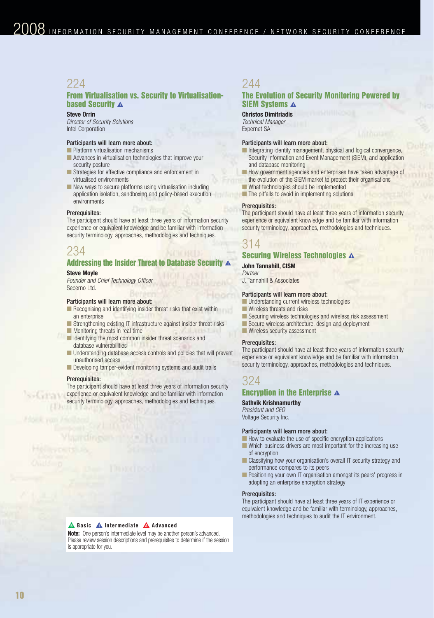# 224

# **From Virtualisation vs. Security to Virtualisationbased Security A**

#### **Steve Orrin**

Director of Security Solutions Intel Corporation

### Participants will learn more about:

- Platform virtualisation mechanisms ■ Advances in virtualisation technologies that improve your
- security posture ■ Strategies for effective compliance and enforcement in virtualised environments
- New ways to secure platforms using virtualisation including application isolation, sandboxing and policy-based execution environments

#### Prerequisites:

The participant should have at least three years of information security experience or equivalent knowledge and be familiar with information security terminology, approaches, methodologies and techniques.

# 234

### **Addressing the Insider Threat to Database Security A Steve Moyle**

Founder and Chief Technology Officer Secerno Ltd.

#### Participants will learn more about:

- Recognising and identifying insider threat risks that exist within an enterprise
- Strengthening existing IT infrastructure against insider threat risks
- Monitoring threats in real time
- Identifying the most common insider threat scenarios and database vulnerabilities
- Understanding database access controls and policies that will prevent unauthorised access
- Developing tamper-evident monitoring systems and audit trails

#### Prerequisites:

**SALVITA V** 

The participant should have at least three years of information security experience or equivalent knowledge and be familiar with information security terminology, approaches, methodologies and techniques.

# 244

### **The Evolution of Security Monitoring Powered by SIEM Systems A**

**Christos Dimitriadis** Technical Manager Expernet SA

#### Participants will learn more about:

- Integrating identity management, physical and logical convergence, Security Information and Event Management (SIEM), and application and database monitoring
- How government agencies and enterprises have taken advantage of the evolution of the SIEM market to protect their organisations
- What technologies should be implemented
- The pitfalls to avoid in implementing solutions

#### Prerequisites:

The participant should have at least three years of information security experience or equivalent knowledge and be familiar with information security terminology, approaches, methodologies and techniques.

# 314

# **Securing Wireless Technologies A**

#### **John Tannahill, CISM**

Partner J. Tannahill & Associates

#### Participants will learn more about:

- Understanding current wireless technologies
- Wireless threats and risks
- Securing wireless technologies and wireless risk assessment
- Secure wireless architecture, design and deployment
- Wireless security assessment

#### Prerequisites:

The participant should have at least three years of information security experience or equivalent knowledge and be familiar with information security terminology, approaches, methodologies and techniques.

# 324

## **Encryption in the Enterprise**  $\Lambda$

### **Sathvik Krishnamurthy**

President and CEO Voltage Security Inc.

#### Participants will learn more about:

- How to evaluate the use of specific encryption applications
- Which business drivers are most important for the increasing use of encryption
- Classifying how your organisation's overall IT security strategy and performance compares to its peers
- Positioning your own IT organisation amongst its peers' progress in adopting an enterprise encryption strategy

#### Prerequisites:

The participant should have at least three years of IT experience or equivalent knowledge and be familiar with terminology, approaches, methodologies and techniques to audit the IT environment.

#### **A** Basic **A** Intermediate **A** Advanced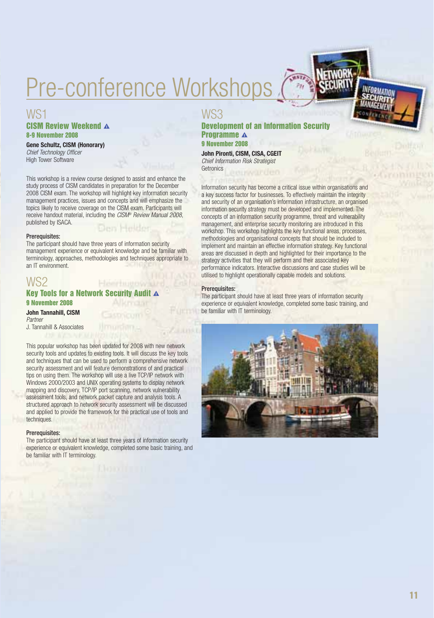# Pre-conference Workshops

# WS1 **CISM Review Weekend A 8-9 November 2008**

**Gene Schultz, CISM (Honorary)** Chief Technology Officer High Tower Software

This workshop is a review course designed to assist and enhance the study process of CISM candidates in preparation for the December 2008 CISM exam. The workshop will highlight key information security management practices, issues and concepts and will emphasize the topics likely to receive coverage on the CISM exam. Participants will receive handout material, including the CISM® Review Manual 2008, published by ISACA. Onry Helde

#### Prerequisites:

The participant should have three years of information security management experience or equivalent knowledge and be familiar with terminology, approaches, methodologies and techniques appropriate to an IT environment.

#### WS2 Hemrisuenwalls **Key Tools for a Network Security Audit A**

### **9 November 2008**

### **John Tannahill, CISM** Partner

J. Tannahill & Associates

This popular workshop has been updated for 2008 with new network security tools and updates to existing tools. It will discuss the key tools and techniques that can be used to perform a comprehensive network security assessment and will feature demonstrations of and practical tips on using them. The workshop will use a live TCP/IP network with Windows 2000/2003 and UNIX operating systems to display network mapping and discovery, TCP/IP port scanning, network vulnerability assessment tools, and network packet capture and analysis tools. A structured approach to network security assessment will be discussed and applied to provide the framework for the practical use of tools and techniques.

#### Prerequisites:

The participant should have at least three years of information security experience or equivalent knowledge, completed some basic training, and be familiar with IT terminology.

# WS3

### **Development of an Information Security Programme**  $\triangle$ **9 November 2008**

**John Pironti, CISM, CISA, CGEIT** Chief Information Risk Strategist **Getronics** 

Information security has become a critical issue within organisations and a key success factor for businesses. To effectively maintain the integrity and security of an organisation's information infrastructure, an organised information security strategy must be developed and implemented. The concepts of an information security programme, threat and vulnerability management, and enterprise security monitoring are introduced in this workshop. This workshop highlights the key functional areas, processes, methodologies and organisational concepts that should be included to implement and maintain an effective information strategy. Key functional areas are discussed in depth and highlighted for their importance to the strategy activities that they will perform and their associated key performance indicators. Interactive discussions and case studies will be utilised to highlight operationally capable models and solutions.

#### Prerequisites:

The participant should have at least three years of information security experience or equivalent knowledge, completed some basic training, and be familiar with IT terminology.

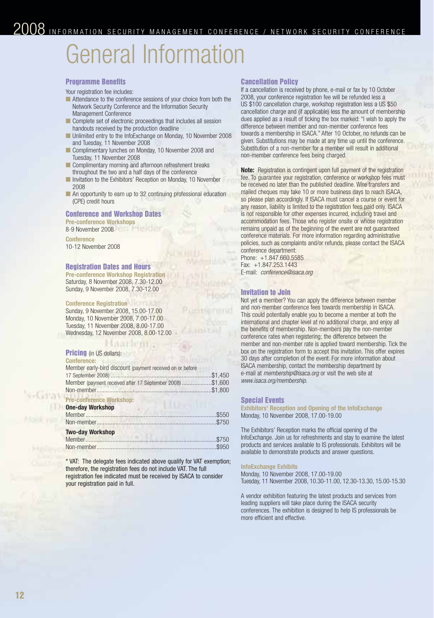# General Information

#### **Programme Benefits**

Your registration fee includes:

- Attendance to the conference sessions of your choice from both the Network Security Conference and the Information Security Management Conference
- Complete set of electronic proceedings that includes all session handouts received by the production deadline
- Unlimited entry to the InfoExchange on Monday, 10 November 2008 and Tuesday, 11 November 2008
- Complimentary lunches on Monday, 10 November 2008 and Tuesday, 11 November 2008
- Complimentary morning and afternoon refreshment breaks throughout the two and a half days of the conference
- Invitation to the Exhibitors' Reception on Monday, 10 November 2008
- An opportunity to earn up to 32 continuing professional education (CPE) credit hours

# **Conference and Workshop Dates**

**Pre-conference Workshops** 8-9 November 2008

**Conference** 10-12 November 2008

#### **Registration Dates and Hours**

**Pre-conference Workshop Registration** Saturday, 8 November 2008, 7.30-12.00 Sunday, 9 November 2008, 7.30-12.00

#### **Conference Registration**

Sunday, 9 November 2008, 15.00-17.00 Monday, 10 November 2008, 7.00-17.00 Tuesday, 11 November 2008, 8.00-17.00 Wednesday, 12 November 2008, 8.00-12.00

#### markent. **Pricing** (in US dollars):

 $-1.1111$ 

| <b>Conference:</b>                                                                                                     |  |
|------------------------------------------------------------------------------------------------------------------------|--|
| Member early-bird discount (payment received on or before<br>Member (payment received after 17 September 2008) \$1,600 |  |
| <b>Pre-conference Workshop:</b><br><b>One-day Workshop</b>                                                             |  |
| <b>Two-day Workshop</b>                                                                                                |  |

\* VAT: The delegate fees indicated above qualify for VAT exemption; therefore, the registration fees do not include VAT. The full registration fee indicated must be received by ISACA to consider your registration paid in full.

#### **Cancellation Policy**

If a cancellation is received by phone, e-mail or fax by 10 October 2008, your conference registration fee will be refunded less a US \$100 cancellation charge, workshop registration less a US \$50 cancellation charge and (if applicable) less the amount of membership dues applied as a result of ticking the box marked: "I wish to apply the difference between member and non-member conference fees towards a membership in ISACA." After 10 October, no refunds can be given. Substitutions may be made at any time up until the conference. Substitution of a non-member for a member will result in additional non-member conference fees being charged.

**Note:** Registration is contingent upon full payment of the registration fee. To guarantee your registration, conference or workshop fees must be received no later than the published deadline. Wire transfers and mailed cheques may take 10 or more business days to reach ISACA, so please plan accordingly. If ISACA must cancel a course or event for any reason, liability is limited to the registration fees paid only. ISACA is not responsible for other expenses incurred, including travel and accommodation fees. Those who register onsite or whose registration remains unpaid as of the beginning of the event are not guaranteed conference materials. For more information regarding administrative policies, such as complaints and/or refunds, please contact the ISACA conference department:

Phone: +1.847.660.5585 Fax: +1.847.253.1443 E-mail: conference@isaca.org

### **Invitation to Join**

Not yet a member? You can apply the difference between member and non-member conference fees towards membership in ISACA. This could potentially enable you to become a member at both the international and chapter level at no additional charge, and enjoy all the benefits of membership. Non-members pay the non-member conference rates when registering; the difference between the member and non-member rate is applied toward membership. Tick the box on the registration form to accept this invitation. This offer expires 30 days after completion of the event. For more information about ISACA membership, contact the membership department by e-mail at *membership@isaca.org* or visit the web site at www.isaca.org/membership.

#### **Special Events**

**Exhibitors' Reception and Opening of the InfoExchange** Monday, 10 November 2008, 17.00-19.00

The Exhibitors' Reception marks the official opening of the InfoExchange. Join us for refreshments and stay to examine the latest products and services available to IS professionals. Exhibitors will be available to demonstrate products and answer questions.

#### **InfoExchange Exhibits**

Monday, 10 November 2008, 17.00-19.00 Tuesday, 11 November 2008, 10.30-11.00, 12.30-13.30, 15.00-15.30

A vendor exhibition featuring the latest products and services from leading suppliers will take place during the ISACA security conferences. The exhibition is designed to help IS professionals be more efficient and effective.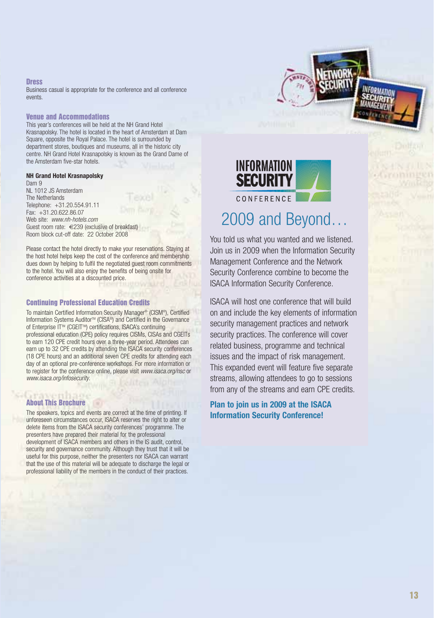#### **Dress**

Business casual is appropriate for the conference and all conference events.

#### **Venue and Accommodations**

This year's conferences will be held at the NH Grand Hotel Krasnapolsky. The hotel is located in the heart of Amsterdam at Dam Square, opposite the Royal Palace. The hotel is surrounded by department stores, boutiques and museums, all in the historic city centre. NH Grand Hotel Krasnapolsky is known as the Grand Dame of the Amsterdam five-star hotels.

#### **NH Grand Hotel Krasnapolsky**

Dam 9 NL 1012 JS Amsterdam The Netherlands Telephone: +31.20.554.91.11 Fax: +31.20.622.86.07 Web site: www.nh-hotels.com Guest room rate: €239 (exclusive of breakfast) Room block cut-off date: 22 October 2008

Please contact the hotel directly to make your reservations. Staying at the host hotel helps keep the cost of the conference and membership dues down by helping to fulfil the negotiated guest room commitments to the hotel. You will also enjoy the benefits of being onsite for conference activities at a discounted price.

#### **Continuing Professional Education Credits**

To maintain Certified Information Security Manager® (CISM®), Certified Information Systems Auditor™ (CISA®) and Certified in the Governance of Enterprise IT™ (CGEIT™) certifications, ISACA's continuing professional education (CPE) policy requires CISMs, CISAs and CGEITs to earn 120 CPE credit hours over a three-year period. Attendees can earn up to 32 CPE credits by attending the ISACA security conferences (18 CPE hours) and an additional seven CPE credits for attending each day of an optional pre-conference workshops. For more information or to register for the conference online, please visit www.isaca.org/nsc or www.isaca.org/infosecurity.

### **About This Brochure**

The speakers, topics and events are correct at the time of printing. If unforeseen circumstances occur, ISACA reserves the right to alter or delete items from the ISACA security conferences' programme. The presenters have prepared their material for the professional development of ISACA members and others in the IS audit, control, security and governance community. Although they trust that it will be useful for this purpose, neither the presenters nor ISACA can warrant that the use of this material will be adequate to discharge the legal or professional liability of the members in the conduct of their practices.



# 2009 and Beyond…

You told us what you wanted and we listened. Join us in 2009 when the Information Security Management Conference and the Network Security Conference combine to become the ISACA Information Security Conference.

ISACA will host one conference that will build on and include the key elements of information security management practices and network security practices. The conference will cover related business, programme and technical issues and the impact of risk management. This expanded event will feature five separate streams, allowing attendees to go to sessions from any of the streams and earn CPE credits.

**Plan to join us in 2009 at the ISACA Information Security Conference!**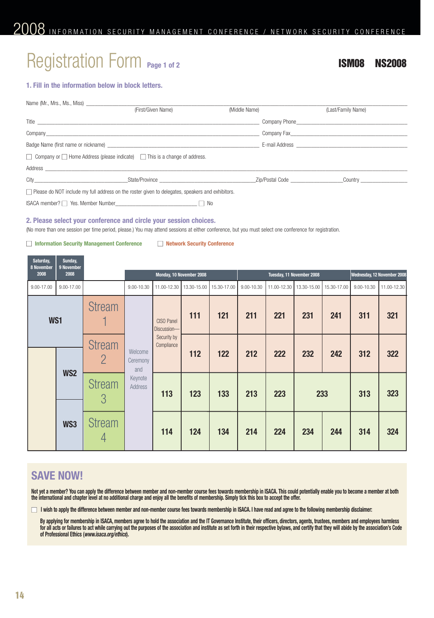# Registration Form **Page 1 of 2 ISM08 NS2008**

# **1. Fill in the information below in block letters.**

|                                                                                                                                                                                                                                | (First/Given Name) | (Middle Name) | (Last/Family Name)                                                                                                                                                                                                             |
|--------------------------------------------------------------------------------------------------------------------------------------------------------------------------------------------------------------------------------|--------------------|---------------|--------------------------------------------------------------------------------------------------------------------------------------------------------------------------------------------------------------------------------|
|                                                                                                                                                                                                                                |                    |               | Company Phone <b>Example 20</b>                                                                                                                                                                                                |
|                                                                                                                                                                                                                                |                    |               | Company Fax and the company of the company of the company of the company of the company of the company of the company of the company of the company of the company of the company of the company of the company of the company |
| Badge Name (first name or nickname) example and the state of the state of the state of the state of the state o                                                                                                                |                    |               | E-mail Address <b>E-mail Address</b>                                                                                                                                                                                           |
| $\Box$ Company or $\Box$ Home Address (please indicate) $\Box$ This is a change of address.                                                                                                                                    |                    |               |                                                                                                                                                                                                                                |
| Address and the contract of the contract of the contract of the contract of the contract of the contract of the contract of the contract of the contract of the contract of the contract of the contract of the contract of th |                    |               |                                                                                                                                                                                                                                |
|                                                                                                                                                                                                                                |                    |               | <b>Country Country</b>                                                                                                                                                                                                         |
| □ Please do NOT include my full address on the roster given to delegates, speakers and exhibitors.                                                                                                                             |                    |               |                                                                                                                                                                                                                                |
|                                                                                                                                                                                                                                |                    | No.           |                                                                                                                                                                                                                                |

#### **2. Please select your conference and circle your session choices.**

(No more than one session per time period, please.) You may attend sessions at either conference, but you must select one conference for registration.

### ■ **Information Security Management Conference** ■ **Network Security Conference**

| Saturday,<br>8 November | Sunday,<br>9 November |                    |                                                  |                           |             |             |                             |             |             |             |            |             |
|-------------------------|-----------------------|--------------------|--------------------------------------------------|---------------------------|-------------|-------------|-----------------------------|-------------|-------------|-------------|------------|-------------|
| 2008                    | 2008                  |                    | Tuesday, 11 November 2008                        |                           |             |             | Wednesday, 12 November 2008 |             |             |             |            |             |
| 9.00-17.00              | 9.00-17.00            |                    | 9.00-10.30                                       | 11.00-12.30               | 13.30-15.00 | 15.30-17.00 | 9.00-10.30                  | 11.00-12.30 | 13.30-15.00 | 15.30-17.00 | 9.00-10.30 | 11.00-12.30 |
| WS1                     |                       | <b>Stream</b>      |                                                  | CISO Panel<br>Discussion- | 111         | 121         | 211                         | 221         | 231         | 241         | 311        | 321         |
|                         |                       | <b>Stream</b>      | Welcome<br>Ceremony<br>and<br>Keynote<br>Address | Security by<br>Compliance | 112         | 122         | 212                         | 222         | 232         | 242         | 312        | 322         |
|                         | WS <sub>2</sub>       | <b>Stream</b><br>3 |                                                  | 113                       | 123         | 133         | 213                         | 223         | 233         |             | 313        | 323         |
|                         | WS3                   | <b>Stream</b>      |                                                  | 114                       | 124         | 134         | 214                         | 224         | 234         | 244         | 314        | 324         |

# **SAVE NOW!**

**Not yet a member? You can apply the difference between member and non-member course fees towards membership in ISACA. This could potentially enable you to become a member at both the international and chapter level at no additional charge and enjoy all the benefits of membership. Simply tick this box to accept the offer.**

□ **I** wish to apply the difference between member and non-member course fees towards membership in ISACA. I have read and agree to the following membership disclaimer:

**By applying for membership in ISACA, members agree to hold the association and the IT Governance Institute, their officers, directors, agents, trustees, members and employees harmless for all acts or failures to act while carrying out the purposes of the association and institute as set forth in their respective bylaws, and certify that they will abide by the association's Code of Professional Ethics (www.isaca.org/ethics).**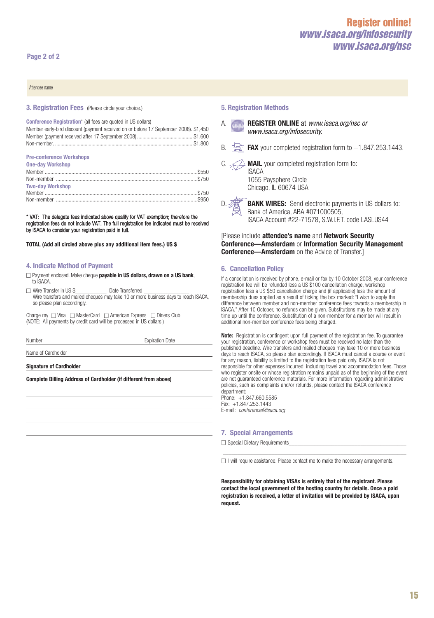# **Register online!**  *www.isaca.org/infosecurity www.isaca.org/nsc*

Attendee name\_\_\_\_\_\_\_\_\_\_\_\_\_\_\_\_\_\_\_\_\_\_\_\_\_\_\_\_\_\_\_\_\_\_\_\_\_\_\_\_\_\_\_\_\_\_\_\_\_\_\_\_\_\_\_\_\_\_\_\_\_\_\_\_\_\_\_\_\_\_\_\_\_\_\_\_\_\_\_\_\_\_\_\_\_\_\_\_\_\_\_\_\_\_\_\_\_\_\_\_\_\_\_\_\_\_\_\_\_\_\_\_\_\_\_\_\_\_\_\_\_\_\_\_\_\_\_\_\_\_\_\_\_\_\_\_\_\_\_\_\_\_\_\_\_\_\_\_\_\_\_\_\_\_\_\_\_\_\_\_\_

#### **3. Registration Fees** (Please circle your choice.)

**Conference Registration**\* (all fees are quoted in US dollars)

| Member early-bird discount (payment received on or before 17 September 2008)\$1,450 |  |
|-------------------------------------------------------------------------------------|--|
|                                                                                     |  |
|                                                                                     |  |

#### **Pre-conference Workshops**

| <b>One-day Workshop</b> |  |
|-------------------------|--|
|                         |  |
|                         |  |
| <b>Two-day Workshop</b> |  |
|                         |  |
|                         |  |

\* VAT: The delegate fees indicated above qualify for VAT exemption; therefore the registration fees do not include VAT. The full registration fee indicated must be received by ISACA to consider your registration paid in full.

**TOTAL (Add all circled above plus any additional item fees.) US \$**\_\_\_\_\_\_\_\_\_\_\_\_

#### **4. Indicate Method of Payment**

□ Payment enclosed. Make cheque **payable in US dollars, drawn on a US bank**, to ISACA.

 $\Box$  Wire Transfer in US \$  $\Box$  Date Transferred

Wire transfers and mailed cheques may take 10 or more business days to reach ISACA, so please plan accordingly.

Charge my □ Visa □ MasterCard □ American Express □ Diners Club (NOTE: All payments by credit card will be processed in US dollars.)

Number **Expiration Date** 

Name of Cardholder

**Signature of Cardholder**

**Complete Billing Address of Cardholder (if different from above)**

#### **5. Registration Methods**

- **REGISTER ONLINE** at www.isaca.org/nsc or www.isaca.org/infosecurity.
- **FAX** your completed registration form to  $+1.847.253.1443$ .

 $\triangle$  **MAIL** your completed registration form to: **ISACA** 1055 Paysphere Circle Chicago, IL 60674 USA

**BANK WIRES:** Send electronic payments in US dollars to: Bank of America, ABA #071000505,

ISACA Account #22-71578, S.W.I.F.T. code LASLUS44

[Please include **attendee's name** and **Network Security Conference—Amsterdam** or **Information Security Management Conference—Amsterdam** on the Advice of Transfer.]

#### **6. Cancellation Policy**

If a cancellation is received by phone, e-mail or fax by 10 October 2008, your conference registration fee will be refunded less a US \$100 cancellation charge, workshop registration less a US \$50 cancellation charge and (if applicable) less the amount of membership dues applied as a result of ticking the box marked: "I wish to apply the difference between member and non-member conference fees towards a membership in ISACA." After 10 October, no refunds can be given. Substitutions may be made at any time up until the conference. Substitution of a non-member for a member will result in additional non-member conference fees being charged.

**Note:** Registration is contingent upon full payment of the registration fee. To guarantee your registration, conference or workshop fees must be received no later than the published deadline. Wire transfers and mailed cheques may take 10 or more business days to reach ISACA, so please plan accordingly. If ISACA must cancel a course or event for any reason, liability is limited to the registration fees paid only. ISACA is not responsible for other expenses incurred, including travel and accommodation fees. Those who register onsite or whose registration remains unpaid as of the beginning of the event are not guaranteed conference materials. For more information regarding administrative policies, such as complaints and/or refunds, please contact the ISACA conference department:

Phone: +1.847.660.5585 Fax: +1.847.253.1443 E-mail: conference@isaca.org

### **7. Special Arrangements**

 $\Box$  Special Dietary Requirements

 $\Box$  I will require assistance. Please contact me to make the necessary arrangements.

\_\_\_\_\_\_\_\_\_\_\_\_\_\_\_\_\_\_\_\_\_\_\_\_\_\_\_\_\_\_\_\_\_\_\_\_\_\_\_\_\_\_\_\_\_\_\_\_\_\_\_\_\_\_\_\_\_\_\_\_\_\_\_\_

**Responsibility for obtaining VISAs is entirely that of the registrant. Please contact the local government of the hosting country for details. Once a paid registration is received, a letter of invitation will be provided by ISACA, upon request.**